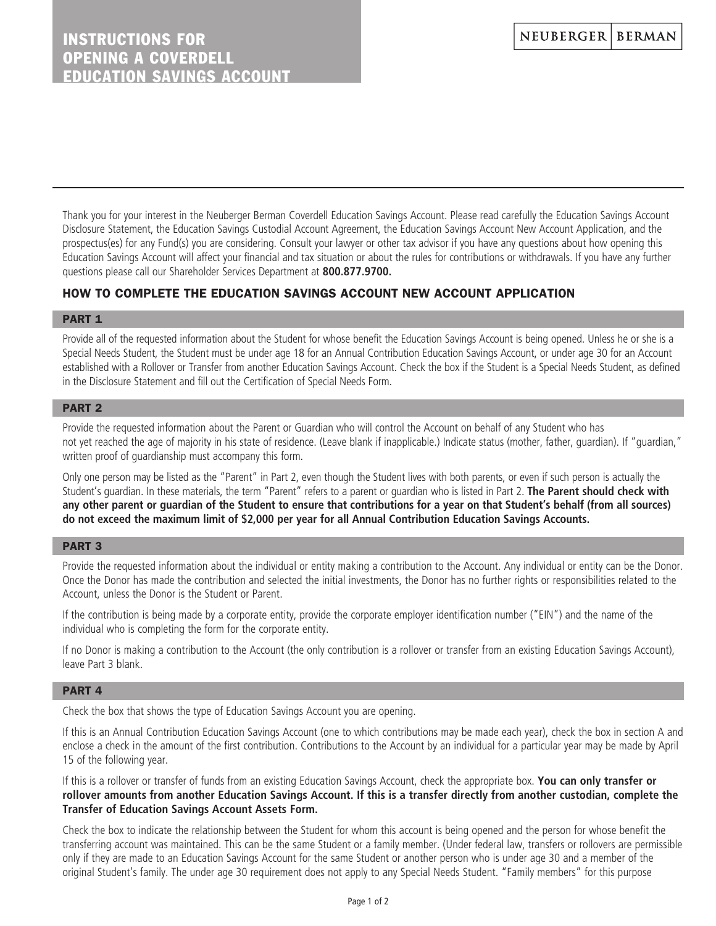Thank you for your interest in the Neuberger Berman Coverdell Education Savings Account. Please read carefully the Education Savings Account Disclosure Statement, the Education Savings Custodial Account Agreement, the Education Savings Account New Account Application, and the prospectus(es) for any Fund(s) you are considering. Consult your lawyer or other tax advisor if you have any questions about how opening this Education Savings Account will affect your financial and tax situation or about the rules for contributions or withdrawals. If you have any further questions please call our Shareholder Services Department at **800.877.9700.**

# HOW TO COMPLETE THE EDUCATION SAVINGS ACCOUNT NEW ACCOUNT APPLICATION

### PART<sub>1</sub>

Provide all of the requested information about the Student for whose benefit the Education Savings Account is being opened. Unless he or she is a Special Needs Student, the Student must be under age 18 for an Annual Contribution Education Savings Account, or under age 30 for an Account established with a Rollover or Transfer from another Education Savings Account. Check the box if the Student is a Special Needs Student, as defined in the Disclosure Statement and fill out the Certification of Special Needs Form.

## PART 2

Provide the requested information about the Parent or Guardian who will control the Account on behalf of any Student who has not yet reached the age of majority in his state of residence. (Leave blank if inapplicable.) Indicate status (mother, father, guardian). If "guardian," written proof of guardianship must accompany this form.

Only one person may be listed as the "Parent" in Part 2, even though the Student lives with both parents, or even if such person is actually the Student's guardian. In these materials, the term "Parent" refers to a parent or guardian who is listed in Part 2. **The Parent should check with any other parent or guardian of the Student to ensure that contributions for a year on that Student's behalf (from all sources) do not exceed the maximum limit of \$2,000 per year for all Annual Contribution Education Savings Accounts.**

### PART 3

Provide the requested information about the individual or entity making a contribution to the Account. Any individual or entity can be the Donor. Once the Donor has made the contribution and selected the initial investments, the Donor has no further rights or responsibilities related to the Account, unless the Donor is the Student or Parent.

If the contribution is being made by a corporate entity, provide the corporate employer identification number ("EIN") and the name of the individual who is completing the form for the corporate entity.

If no Donor is making a contribution to the Account (the only contribution is a rollover or transfer from an existing Education Savings Account), leave Part 3 blank.

## PART 4

Check the box that shows the type of Education Savings Account you are opening.

If this is an Annual Contribution Education Savings Account (one to which contributions may be made each year), check the box in section A and enclose a check in the amount of the first contribution. Contributions to the Account by an individual for a particular year may be made by April 15 of the following year.

If this is a rollover or transfer of funds from an existing Education Savings Account, check the appropriate box. **You can only transfer or rollover amounts from another Education Savings Account. If this is a transfer directly from another custodian, complete the Transfer of Education Savings Account Assets Form.** 

Check the box to indicate the relationship between the Student for whom this account is being opened and the person for whose benefit the transferring account was maintained. This can be the same Student or a family member. (Under federal law, transfers or rollovers are permissible only if they are made to an Education Savings Account for the same Student or another person who is under age 30 and a member of the original Student's family. The under age 30 requirement does not apply to any Special Needs Student. "Family members" for this purpose